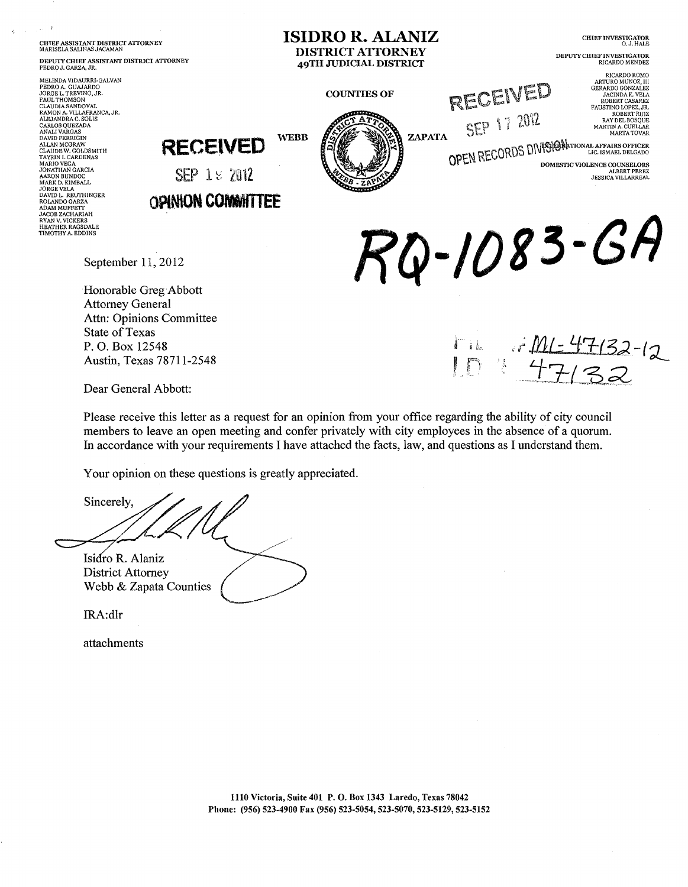**CHIEF ASSISTANT DISTRICT ATTORNEY**<br>MARISELA SALIMAS JACAMAN

DEPUTY CHIEF ASSISTANT DISTRICT ATTORNEY<br>PEDRO J. GARZA, JR.

MELINDA VIDAURRI-GALVAN MELINDA VIDAUKRI-GALVAN<br>PEDRO A. GUAJARDO<br>JORGE L. TREVINO, JR.<br>PAUL THOMSON<br>CLAUDIA SANDOVAL<br>RAMON A. VILLAFRANCA, JR.<br>ALEJANDRA C. SOLIS<br>ALEJANDRA C. SOLIS ALEJANDRAC. SOLIS<br>CARLOS QUEZADA<br>ANALI VARGAS<br>ANALI VARGAS<br>ALEAN MCGRAW<br>ALLAN MCGRAW<br>CALDE VICADA<br>CARLOS MARIO VEGA<br>MARIO VEGA<br>ARARON BUNDOC<br>ANARI JONATHAN GARCIA<br>ARARON BUNDOC<br>JORGE VELA<br>JORGE VELA<br>DAVID L. REUTHINGER<br>ROL DAVID L. REUTHINGE<br>ROLANDO GARZA<br>ADAM MUFFETT<br>JACOB ZACHARIAH<br>RYAN V. VICKERS<br>HEATHER RAGSDALE<br>TIMOTHY A. EDDINS

**CHIEF INVESTIGATOR** O. J. HALE **DISTRICT ATTORNEY** DEPUTY CHIEF INVESTIGATOR **49TH JUDICIAL DISTRICT** RICARDO MENDEZ  $\begin{array}{c} \text{RICARDO ROMO} \\ \text{ARTURO MUNOZ, III} \\ \text{GERARDO GONZALEZ} \\ \text{JACINDA K. VELA} \\ \text{ROBERT CASAREZ} \end{array}$ RECEIVED **COUNTIES OF** FALISTINO LOPEZ, JR. SEP 17 2012 FAUSTING LOPEZ, JR.<br>ROBERT RUIZ<br>RAY DEL BOSQUE<br>MARTIN A. CUELLAR<br>MARTA TOVAR ZAPATA **WEBB** OPEN RECORDS DIVISION TO APPARE OFFICER **RECEIVED** DOMESTIC VIOLENCE COUNSELORS SEP 1 % 2012 ALBERT PEREZ<br>JESSICA VILLARREAL **OPINION COMMITTEE** Q-1083-GA

**ISIDRO R. ALANIZ** 

September 11, 2012

Honorable Greg Abbott **Attorney General** Attn: Opinions Committee **State of Texas** P.O. Box 12548 Austin, Texas 78711-2548

 $\frac{1}{4712}$ عناً ف

Dear General Abbott:

Please receive this letter as a request for an opinion from your office regarding the ability of city council members to leave an open meeting and confer privately with city employees in the absence of a quorum. In accordance with your requirements I have attached the facts, law, and questions as I understand them.

Your opinion on these questions is greatly appreciated.

Sincerely, Isidro R. Alaniz **District Attorney** 

Webb & Zapata Counties

IRA:dlr

attachments